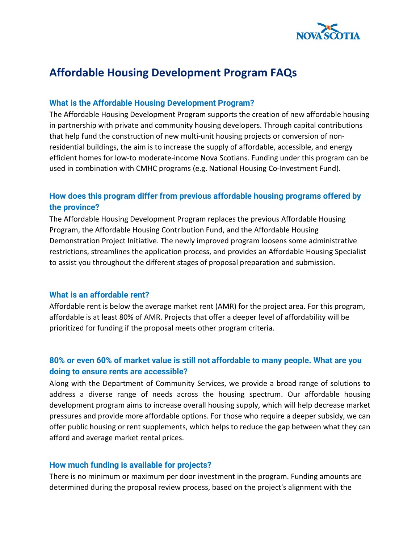

# **Affordable Housing Development Program FAQs**

#### **What is the Affordable Housing Development Program?**

The Affordable Housing Development Program supports the creation of new affordable housing in partnership with private and community housing developers. Through capital contributions that help fund the construction of new multi-unit housing projects or conversion of nonresidential buildings, the aim is to increase the supply of affordable, accessible, and energy efficient homes for low-to moderate-income Nova Scotians. Funding under this program can be used in combination with CMHC programs (e.g. National Housing Co-Investment Fund).

# **How does this program differ from previous affordable housing programs offered by the province?**

The Affordable Housing Development Program replaces the previous Affordable Housing Program, the Affordable Housing Contribution Fund, and the Affordable Housing Demonstration Project Initiative. The newly improved program loosens some administrative restrictions, streamlines the application process, and provides an Affordable Housing Specialist to assist you throughout the different stages of proposal preparation and submission.

#### **What is an affordable rent?**

Affordable rent is below the average market rent (AMR) for the project area. For this program, affordable is at least 80% of AMR. Projects that offer a deeper level of affordability will be prioritized for funding if the proposal meets other program criteria.

# **80% or even 60% of market value is still not affordable to many people. What are you doing to ensure rents are accessible?**

Along with the Department of Community Services, we provide a broad range of solutions to address a diverse range of needs across the housing spectrum. Our affordable housing development program aims to increase overall housing supply, which will help decrease market pressures and provide more affordable options. For those who require a deeper subsidy, we can offer public housing or rent supplements, which helps to reduce the gap between what they can afford and average market rental prices.

#### **How much funding is available for projects?**

There is no minimum or maximum per door investment in the program. Funding amounts are determined during the proposal review process, based on the project's alignment with the